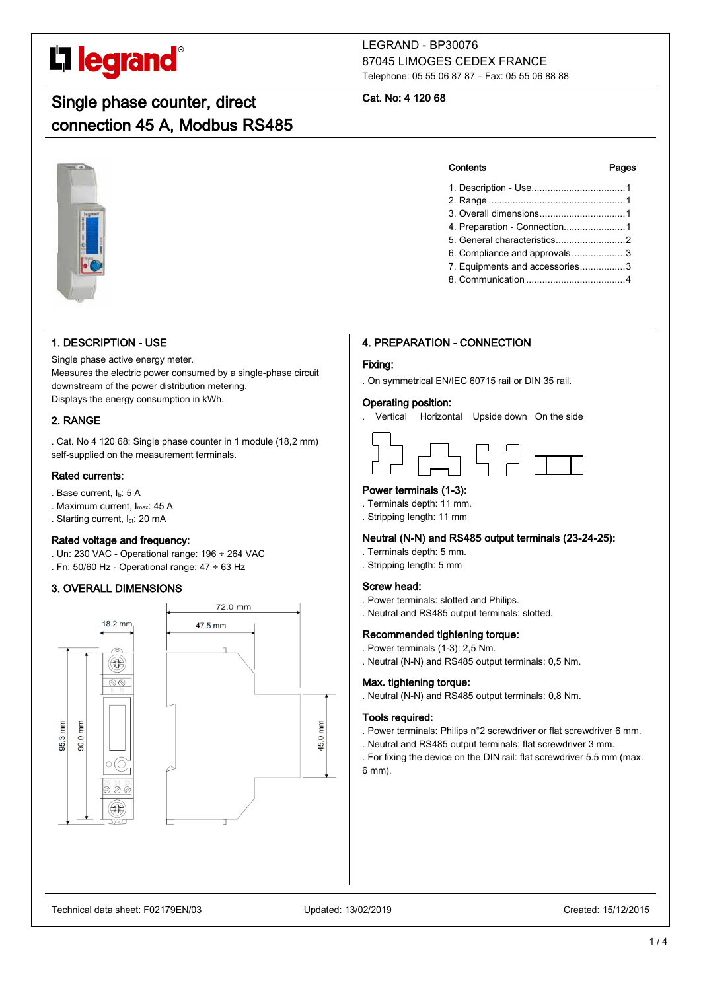# **L'i legrand**

## Single phase counter, direct connection 45 A, Modbus RS485

#### LEGRAND - BP30076 87045 LIMOGES CEDEX FRANCE Telephone: 05 55 06 87 87 – Fax: 05 55 06 88 88

#### Cat. No: 4 120 68

### 1. DESCRIPTION - USE

Single phase active energy meter. Measures the electric power consumed by a single-phase circuit downstream of the power distribution metering. Displays the energy consumption in kWh.

#### 2. RANGE

. Cat. No 4 120 68: Single phase counter in 1 module (18,2 mm) self-supplied on the measurement terminals.

#### Rated currents:

- . Base current, Ib: 5 A
- . Maximum current, Imax: 45 A
- . Starting current, I<sub>st</sub>: 20 mA

#### Rated voltage and frequency:

- . Un: 230 VAC Operational range: 196 ÷ 264 VAC
- . Fn: 50/60 Hz Operational range: 47 ÷ 63 Hz

### 3. OVERALL DIMENSIONS



#### 4. PREPARATION - CONNECTION

#### Fixing:

. On symmetrical EN/IEC 60715 rail or DIN 35 rail.

#### Operating position:

. Vertical Horizontal Upside down On the side



### Power terminals (1-3):

- . Terminals depth: 11 mm.
- . Stripping length: 11 mm

#### Neutral (N-N) and RS485 output terminals (23-24-25):

- . Terminals depth: 5 mm.
- . Stripping length: 5 mm

#### Screw head:

- . Power terminals: slotted and Philips.
- . Neutral and RS485 output terminals: slotted.

#### Recommended tightening torque:

- . Power terminals (1-3): 2,5 Nm.
- . Neutral (N-N) and RS485 output terminals: 0,5 Nm.

#### Max. tightening torque:

. Neutral (N-N) and RS485 output terminals: 0,8 Nm.

#### Tools required:

- . Power terminals: Philips n°2 screwdriver or flat screwdriver 6 mm.
- . Neutral and RS485 output terminals: flat screwdriver 3 mm.
- . For fixing the device on the DIN rail: flat screwdriver 5.5 mm (max. 6 mm).

#### Contents Pages

- 1. Description Use...................................1 2. Range ...................................................1 3. Overall dimensions................................1 4. Preparation - Connection.......................1 5. General characteristics..........................2 6. Compliance and approvals ....................3
- 7. Equipments and accessories.................3 8. Communication .....................................4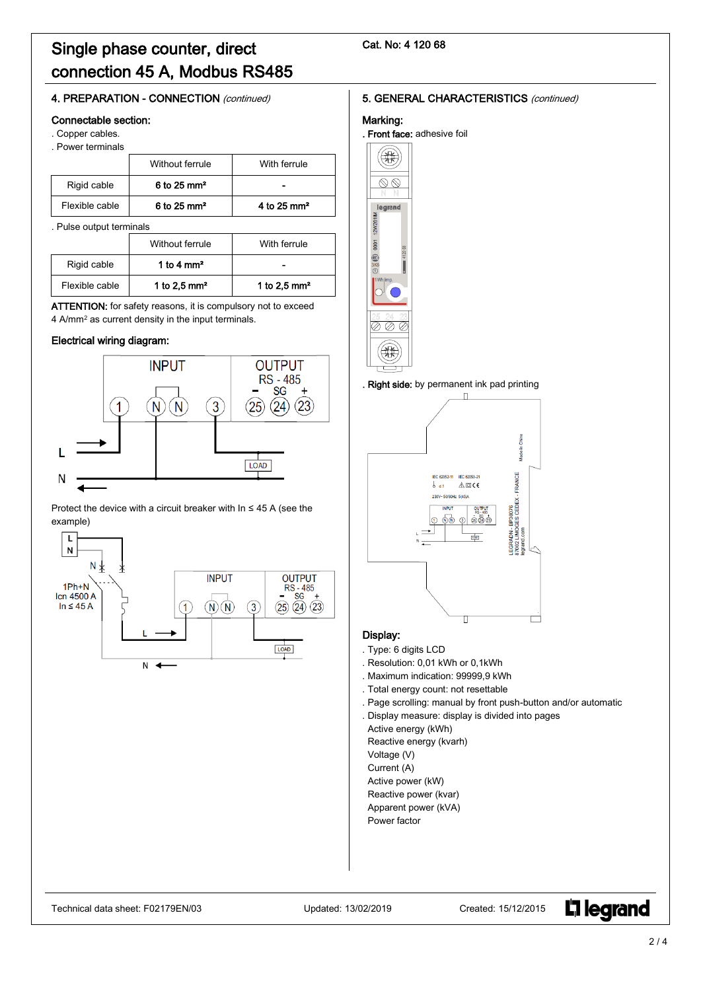## Single phase counter, direct connection 45 A, Modbus RS485

#### Cat. No: 4 120 68

#### 4. PREPARATION - CONNECTION (continued)

#### Connectable section:

- . Copper cables.
- . Power terminals

|                | Without ferrule           | With ferrule            |
|----------------|---------------------------|-------------------------|
| Rigid cable    | $6$ to 25 mm <sup>2</sup> |                         |
| Flexible cable | $6$ to 25 mm <sup>2</sup> | 4 to 25 mm <sup>2</sup> |

. Pulse output terminals

|                | Without ferrule      | With ferrule   |
|----------------|----------------------|----------------|
| Rigid cable    | 1 to 4 $\text{mm}^2$ |                |
| Flexible cable | 1 to 2.5 $mm2$       | 1 to 2.5 $mm2$ |

ATTENTION: for safety reasons, it is compulsory not to exceed 4 A/mm<sup>2</sup> as current density in the input terminals.

#### Electrical wiring diagram:



Protect the device with a circuit breaker with In ≤ 45 A (see the example)



#### 5. GENERAL CHARACTERISTICS (continued)

#### Marking:

. Front face: adhesive foil



#### . Right side: by permanent ink pad printing



#### Display:

- . Type: 6 digits LCD
- . Resolution: 0,01 kWh or 0,1kWh
- . Maximum indication: 99999,9 kWh
- . Total energy count: not resettable
- . Page scrolling: manual by front push-button and/or automatic
- . Display measure: display is divided into pages

Active energy (kWh)

Reactive energy (kvarh)

Voltage (V)

Current (A)

- Active power (kW)
- Reactive power (kvar)
- Apparent power (kVA)
- Power factor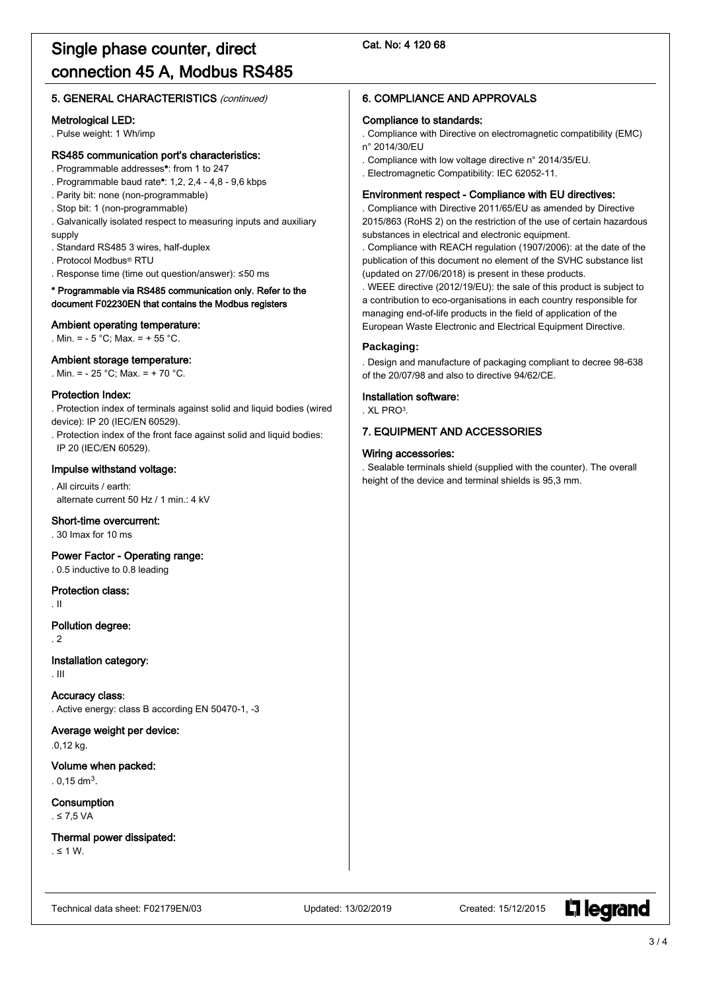#### Cat. No: 4 120 68

#### 5. GENERAL CHARACTERISTICS (continued)

#### Metrological LED:

. Pulse weight: 1 Wh/imp

#### RS485 communication port's characteristics:

- . Programmable addresses\*: from 1 to 247
- . Programmable baud rate\*: 1,2, 2,4 4,8 9,6 kbps
- . Parity bit: none (non-programmable)
- . Stop bit: 1 (non-programmable)
- . Galvanically isolated respect to measuring inputs and auxiliary supply
- . Standard RS485 3 wires, half-duplex
- . Protocol Modbus® RTU
- . Response time (time out question/answer): ≤50 ms

#### \* Programmable via RS485 communication only. Refer to the document F02230EN that contains the Modbus registers

#### Ambient operating temperature:

. Min. = - 5 °C; Max. = + 55 °C.

#### Ambient storage temperature:

. Min. = - 25 °C; Max. = + 70 °C.

#### Protection Index:

. Protection index of terminals against solid and liquid bodies (wired device): IP 20 (IEC/EN 60529).

. Protection index of the front face against solid and liquid bodies: IP 20 (IEC/EN 60529).

#### Impulse withstand voltage:

. All circuits / earth: alternate current 50 Hz / 1 min.: 4 kV

#### Short-time overcurrent:

. 30 Imax for 10 ms

#### Power Factor - Operating range:

. 0.5 inductive to 0.8 leading

#### Protection class:

. II

#### Pollution degree:

. 2

#### Installation category:

. III

Accuracy class: . Active energy: class B according EN 50470-1, -3

#### Average weight per device:

.0,12 kg.

Volume when packed:  $.0,15$  dm<sup>3</sup>.

Consumption

. ≤ 7,5 VA

Thermal power dissipated: . ≤ 1 W.

#### Technical data sheet: F02179EN/03 Updated: 13/02/2019 Created: 15/12/2015

**L'1 learand** 

### 6. COMPLIANCE AND APPROVALS

#### Compliance to standards:

. Compliance with Directive on electromagnetic compatibility (EMC) n° 2014/30/EU

- . Compliance with low voltage directive n° 2014/35/EU.
- . Electromagnetic Compatibility: IEC 62052-11.

#### Environment respect - Compliance with EU directives:

. Compliance with Directive 2011/65/EU as amended by Directive 2015/863 (RoHS 2) on the restriction of the use of certain hazardous substances in electrical and electronic equipment.

. Compliance with REACH regulation (1907/2006): at the date of the publication of this document no element of the SVHC substance list (updated on 27/06/2018) is present in these products.

. WEEE directive (2012/19/EU): the sale of this product is subject to a contribution to eco-organisations in each country responsible for managing end-of-life products in the field of application of the European Waste Electronic and Electrical Equipment Directive.

#### **Packaging:**

. Design and manufacture of packaging compliant to decree 98-638 of the 20/07/98 and also to directive 94/62/CE.

#### Installation software:

. XL PRO3.

#### 7. EQUIPMENT AND ACCESSORIES

#### Wiring accessories:

. Sealable terminals shield (supplied with the counter). The overall height of the device and terminal shields is 95,3 mm.